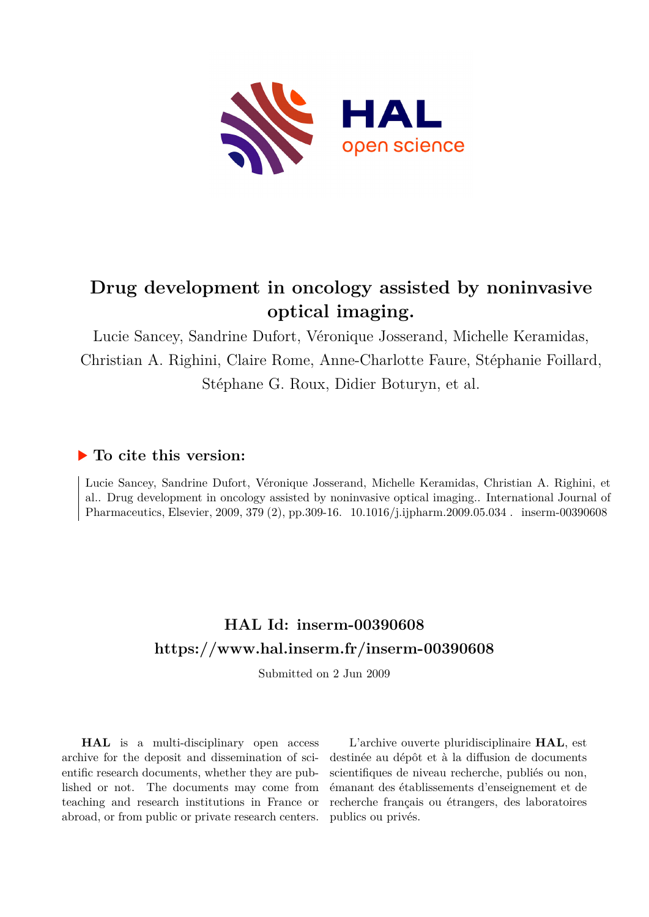

# **Drug development in oncology assisted by noninvasive optical imaging.**

Lucie Sancey, Sandrine Dufort, Véronique Josserand, Michelle Keramidas, Christian A. Righini, Claire Rome, Anne-Charlotte Faure, Stéphanie Foillard, Stéphane G. Roux, Didier Boturyn, et al.

### **To cite this version:**

Lucie Sancey, Sandrine Dufort, Véronique Josserand, Michelle Keramidas, Christian A. Righini, et al.. Drug development in oncology assisted by noninvasive optical imaging.. International Journal of Pharmaceutics, Elsevier, 2009, 379 (2), pp.309-16.  $10.1016/j.ijpharm.2009.05.034$ . inserm-00390608

## **HAL Id: inserm-00390608 <https://www.hal.inserm.fr/inserm-00390608>**

Submitted on 2 Jun 2009

**HAL** is a multi-disciplinary open access archive for the deposit and dissemination of scientific research documents, whether they are published or not. The documents may come from teaching and research institutions in France or abroad, or from public or private research centers.

L'archive ouverte pluridisciplinaire **HAL**, est destinée au dépôt et à la diffusion de documents scientifiques de niveau recherche, publiés ou non, émanant des établissements d'enseignement et de recherche français ou étrangers, des laboratoires publics ou privés.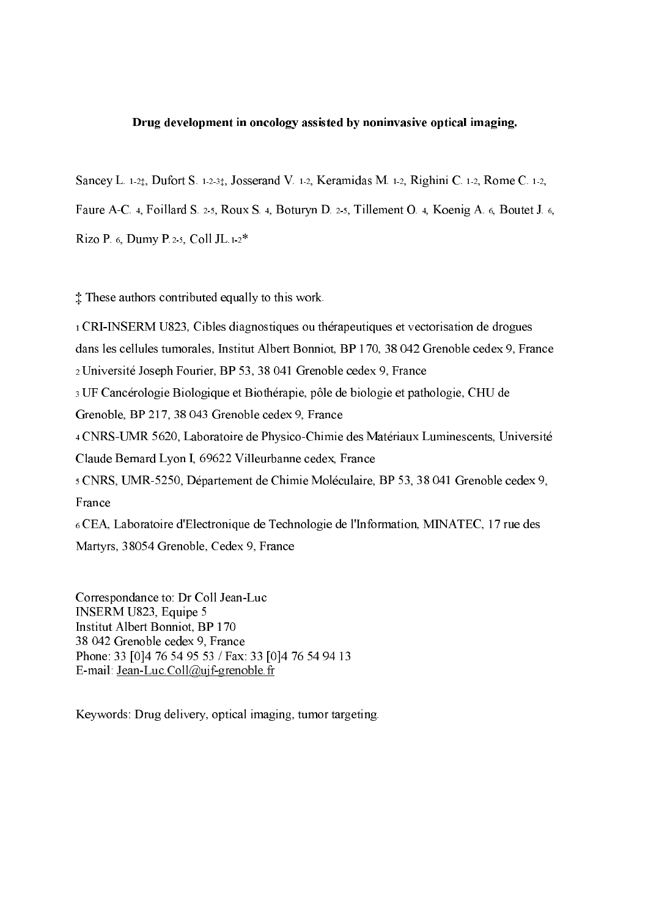#### Drug development in oncology assisted by noninvasive optical imaging.

Sancey L.  $1\cdot 2\sharp$ , Dufort S.  $1\cdot 2\cdot 3\sharp$ , Josserand V.  $1\cdot 2$ , Keramidas M.  $1\cdot 2$ , Righini C.  $1\cdot 2$ , Rome C.  $1\cdot 2$ ,

Faure A-C. 4, Foillard S. 2-5, Roux S. 4, Boturyn D. 2-5, Tillement O. 4, Koenig A. 6, Boutet J. 6,

Rizo P. 6, Dumy P.2-5, Coll JL.1-2\*

‡ These authors contributed equally to this work.

 CRIINSERM U823, Cibles diagnostiques ou thérapeutiques et vectorisation de drogues dans les cellules tumorales, Institut Albert Bonniot, BP 170, 38 042 Grenoble cedex 9, France Université Joseph Fourier, BP 53, 38 041 Grenoble cedex 9, France UF Cancérologie Biologique et Biothérapie, pôle de biologie et pathologie, CHU de Grenoble, BP 217, 38 043 Grenoble cedex 9, France <sup>4</sup> CNRS-UMR 5620, Laboratoire de Physico-Chimie des Matériaux Luminescents, Université Claude Bernard Lyon I, 69622 Villeurbanne cedex, France CNRS, UMR5250, Département de Chimie Moléculaire, BP 53, 38 041 Grenoble cedex 9, France CEA, Laboratoire d'Electronique de Technologie de l'Information, MINATEC, 17 rue des

Martyrs, 38054 Grenoble, Cedex 9, France

Correspondance to: Dr Coll Jean-Luc INSERM U823, Equipe 5 Institut Albert Bonniot, BP 170 38 042 Grenoble cedex 9, France Phone: 33 [0]4 76 54 95 53 / Fax: 33 [0]4 76 54 94 13 E-mail: Jean-Luc.Coll@ujf-grenoble.fr

Keywords: Drug delivery, optical imaging, tumor targeting.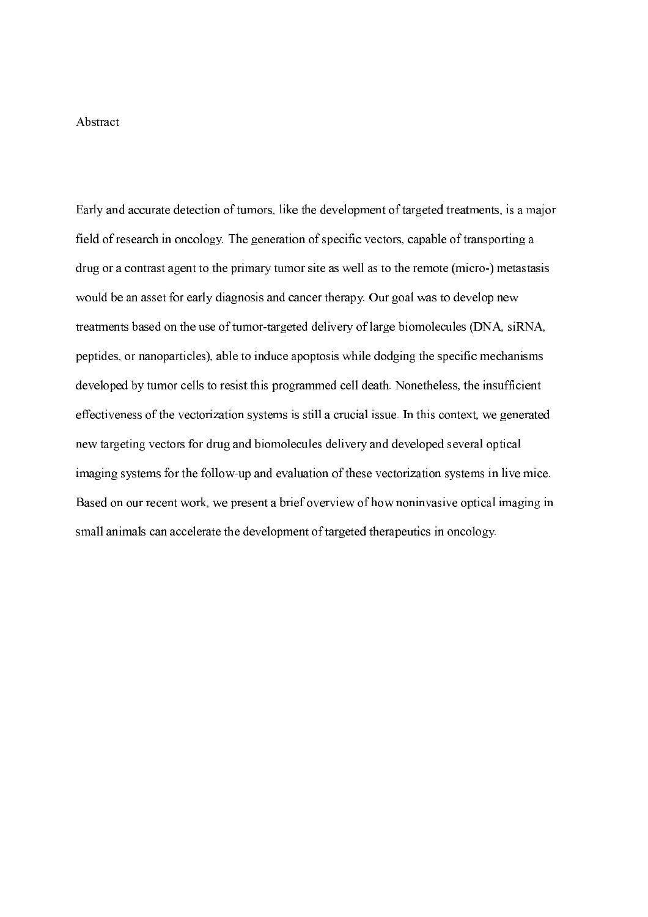#### Abstract

Early and accurate detection of tumors, like the development of targeted treatments, is a major field of research in oncology. The generation of specific vectors, capable of transporting a drug or a contrast agent to the primary tumor site as well as to the remote (micro-) metastasis would be an asset for early diagnosis and cancer therapy. Our goal was to develop new treatments based on the use of tumor-targeted delivery of large biomolecules (DNA, siRNA, peptides, or nanoparticles), able to induce apoptosis while dodging the specific mechanisms developed by tumor cells to resist this programmed cell death. Nonetheless, the insufficient effectiveness of the vectorization systems is still a crucial issue. In this context, we generated new targeting vectors for drug and biomolecules delivery and developed several optical imaging systems for the follow-up and evaluation of these vectorization systems in live mice. Based on our recent work, we present a brief overview of how noninvasive optical imaging in small animals can accelerate the development of targeted therapeutics in oncology.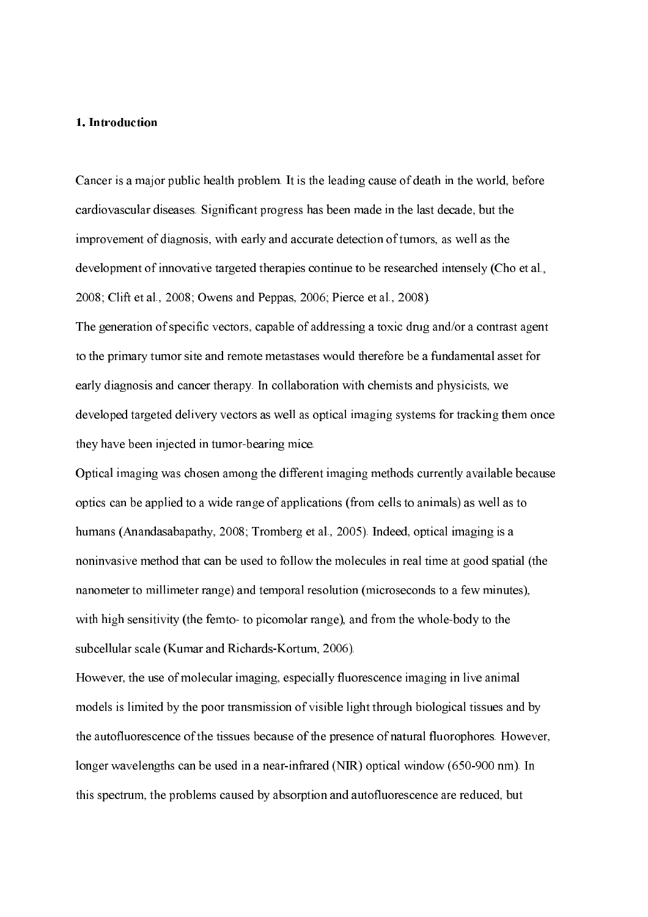#### 1. Introduction

Cancer is a major public health problem. It is the leading cause of death in the world, before cardiovascular diseases. Significant progress has been made in the last decade, but the improvement of diagnosis, with early and accurate detection of tumors, as well as the development of innovative targeted therapies continue to be researched intensely (Cho et al., 2008; Clift et al., 2008; Owens and Peppas, 2006; Pierce et al., 2008).

The generation of specific vectors, capable of addressing a toxic drug and/or a contrast agent to the primary tumor site and remote metastases would therefore be a fundamental asset for early diagnosis and cancer therapy. In collaboration with chemists and physicists, we developed targeted delivery vectors as well as optical imaging systems for tracking them once they have been injected in tumor-bearing mice.

Optical imaging was chosen among the different imaging methods currently available because optics can be applied to a wide range of applications (from cells to animals) as well as to humans (Anandasabapathy, 2008; Tromberg et al., 2005). Indeed, optical imaging is a noninvasive method that can be used to follow the molecules in real time at good spatial (the nanometer to millimeter range) and temporal resolution (microseconds to a few minutes), with high sensitivity (the femto- to picomolar range), and from the whole-body to the subcellular scale (Kumar and Richards-Kortum, 2006).

However, the use of molecular imaging, especially fluorescence imaging in live animal models is limited by the poor transmission of visible light through biological tissues and by the autofluorescence of the tissues because of the presence of natural fluorophores. However, longer wavelengths can be used in a near-infrared (NIR) optical window (650-900 nm). In this spectrum, the problems caused by absorption and autofluorescence are reduced, but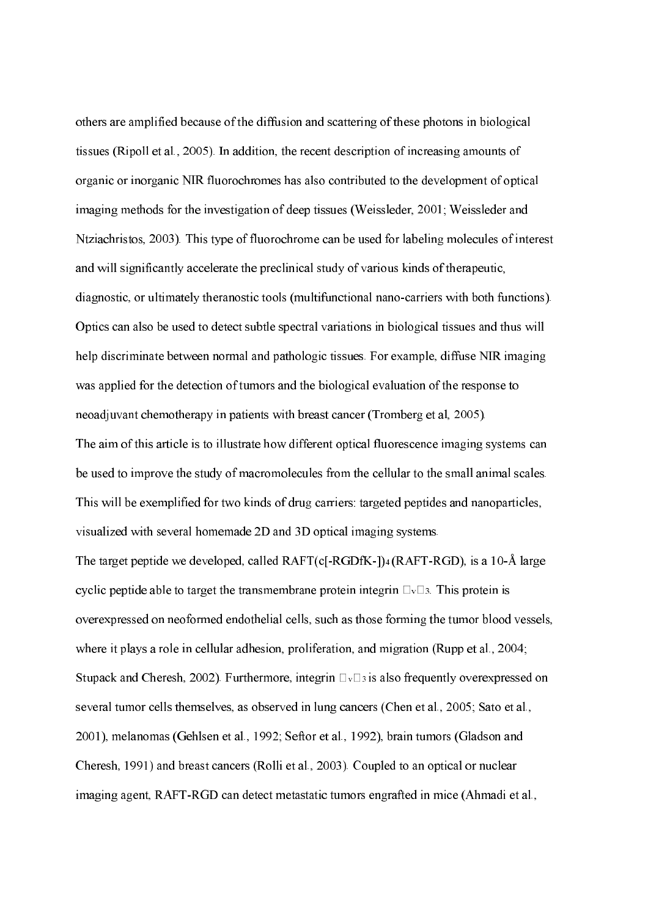others are amplified because of the diffusion and scattering of these photons in biological tissues (Ripoll et al., 2005). In addition, the recent description of increasing amounts of organic or inorganic NIR fluorochromes has also contributed to the development of optical imaging methods for the investigation of deep tissues (Weissleder, 2001; Weissleder and Ntziachristos, 2003). This type of fluorochrome can be used for labeling molecules of interest and will significantly accelerate the preclinical study of various kinds of therapeutic, diagnostic, or ultimately theranostic tools (multifunctional nano-carriers with both functions). Optics can also be used to detect subtle spectral variations in biological tissues and thus will help discriminate between normal and pathologic tissues. For example, diffuse NIR imaging was applied for the detection of tumors and the biological evaluation of the response to neoadjuvant chemotherapy in patients with breast cancer (Tromberg et al, 2005). The aim of this article is to illustrate how different optical fluorescence imaging systems can be used to improve the study of macromolecules from the cellular to the small animal scales. This will be exemplified for two kinds of drug carriers: targeted peptides and nanoparticles, visualized with several homemade 2D and 3D optical imaging systems. The target peptide we developed, called  $RAFT(c[-RGDfK-])$ <sup>4</sup> ( $RAFT-RGD$ ), is a 10- $\AA$  large cyclic peptide able to target the transmembrane protein integrin  $\Box_{\nu} \Box_{\nu}$ . This protein is overexpressed on neoformed endothelial cells, such as those forming the tumor blood vessels, where it plays a role in cellular adhesion, proliferation, and migration (Rupp et al., 2004; Stupack and Cheresh, 2002). Furthermore, integrin  $\Box$   $\Box$  is also frequently overexpressed on several tumor cells themselves, as observed in lung cancers (Chen et al., 2005; Sato et al., 2001), melanomas (Gehlsen et al., 1992; Seftor et al., 1992), brain tumors (Gladson and Cheresh, 1991) and breast cancers (Rolli et al., 2003). Coupled to an optical or nuclear imaging agent, RAFT-RGD can detect metastatic tumors engrafted in mice (Ahmadi et al.,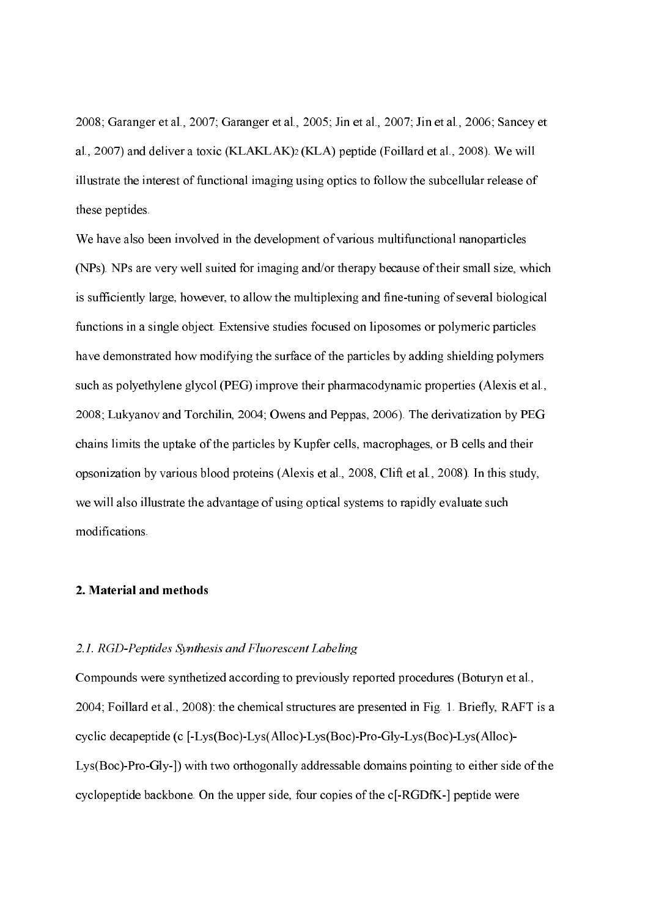2008; Garanger et al., 2007; Garanger et al., 2005; Jin et al., 2007; Jin et al., 2006; Sancey et al., 2007) and deliver a toxic  $(KLAKLAK)$ <sup>2</sup>  $(KLA)$  peptide (Foillard et al., 2008). We will illustrate the interest of functional imaging using optics to follow the subcellular release of these peptides.

We have also been involved in the development of various multifunctional nanoparticles (NPs). NPs are very well suited for imaging and/or therapy because of their small size, which is sufficiently large, however, to allow the multiplexing and fine-tuning of several biological functions in a single object. Extensive studies focused on liposomes or polymeric particles have demonstrated how modifying the surface of the particles by adding shielding polymers such as polyethylene glycol (PEG) improve their pharmacodynamic properties (Alexis et al., 2008; Lukyanov and Torchilin, 2004; Owens and Peppas, 2006). The derivatization by PEG chains limits the uptake of the particles by Kupfer cells, macrophages, or B cells and their opsonization by various blood proteins (Alexis et al., 2008, Clift et al., 2008). In this study, we will also illustrate the advantage of using optical systems to rapidly evaluate such modifications.

#### 2. Material and methods

### 2.1. RGD-Peptides Synthesis and Fluorescent Labeling

Compounds were synthetized according to previously reported procedures (Boturyn et al., 2004; Foillard et al., 2008): the chemical structures are presented in Fig. 1. Briefly, RAFT is a cyclic decapeptide (c  $[-Lys(Boc) - Lys(Alloc) - Lys(Boc) - Pro-Gly-Lys(Boc) - Lys(Alloc) Lys(Boc)$ -Pro-Gly- $)$  with two orthogonally addressable domains pointing to either side of the cyclopeptide backbone. On the upper side, four copies of the  $c[-RGDFK-]$  peptide were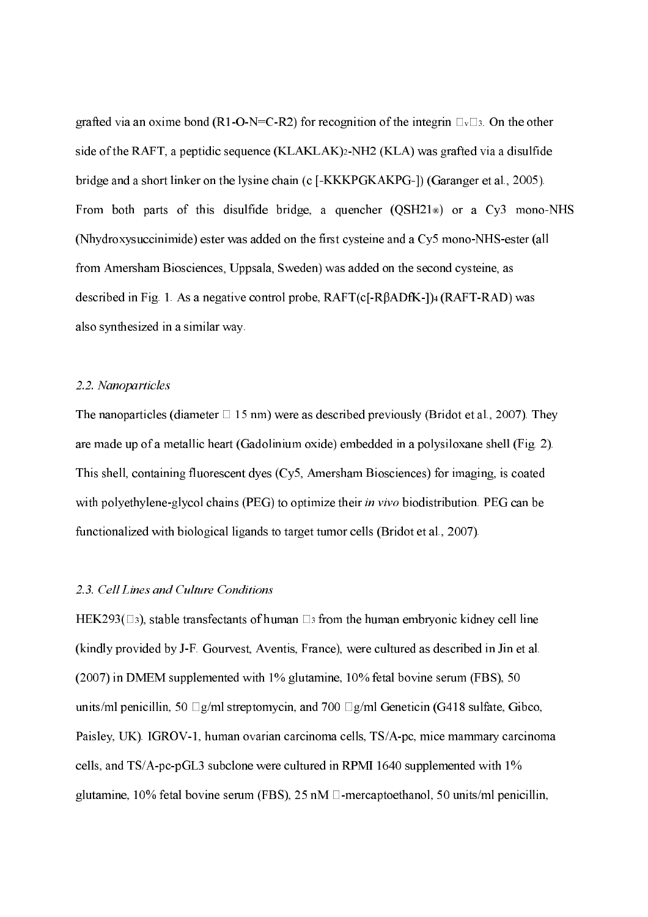grafted via an oxime bond (R1-O-N=C-R2) for recognition of the integrin  $\Box \vee \Box$ 3. On the other side of the RAFT, a peptidic sequence  $(KLAKLAK)_2-NH2 (KLA)$  was grafted via a disulfide bridge and a short linker on the lysine chain (c [-KKKPGKAKPG-]) (Garanger et al., 2005). From both parts of this disulfide bridge, a quencher  $(QSH21)$  or a  $Cy3$  mono-NHS (Nhydroxysuccinimide) ester was added on the first cysteine and a  $C<sub>Y</sub>5$  mono-NHS-ester (all from Amersham Biosciences, Uppsala, Sweden) was added on the second cysteine, as described in Fig. 1. As a negative control probe,  $RAFT(c[-R\beta ADfK]-1)$ <sup>4</sup> ( $RAFT-RAD$ ) was also synthesized in a similar way.

### 2.2. Nanoparticles

The nanoparticles (diameter  $\Box$  15 nm) were as described previously (Bridot et al., 2007). They are made up of a metallic heart (Gadolinium oxide) embedded in a polysiloxane shell (Fig. 2). This shell, containing fluorescent dyes (Cy5, Amersham Biosciences) for imaging, is coated with polyethylene-glycol chains (PEG) to optimize their *in vivo* biodistribution. PEG can be functionalized with biological ligands to target tumor cells (Bridot et al., 2007).

#### 2.3. Cell Lines and Culture Conditions

HEK293( $\Box$ 3), stable transfectants of human  $\Box$ 3 from the human embryonic kidney cell line (kindly provided by JF. Gourvest, Aventis, France), were cultured as described in Jin et al. (2007) in DMEM supplemented with 1% glutamine, 10% fetal bovine serum (FBS), 50 units/ml penicillin, 50  $\Box$  g/ml streptomycin, and 700  $\Box$  g/ml Geneticin (G418 sulfate, Gibco, Paisley, UK). IGROV-1, human ovarian carcinoma cells, TS/A-pc, mice mammary carcinoma cells, and  $TS/A$ -pc-pGL3 subclone were cultured in RPMI 1640 supplemented with 1% glutamine, 10% fetal bovine serum (FBS), 25 nM  $\Box$ -mercaptoethanol, 50 units/ml penicillin,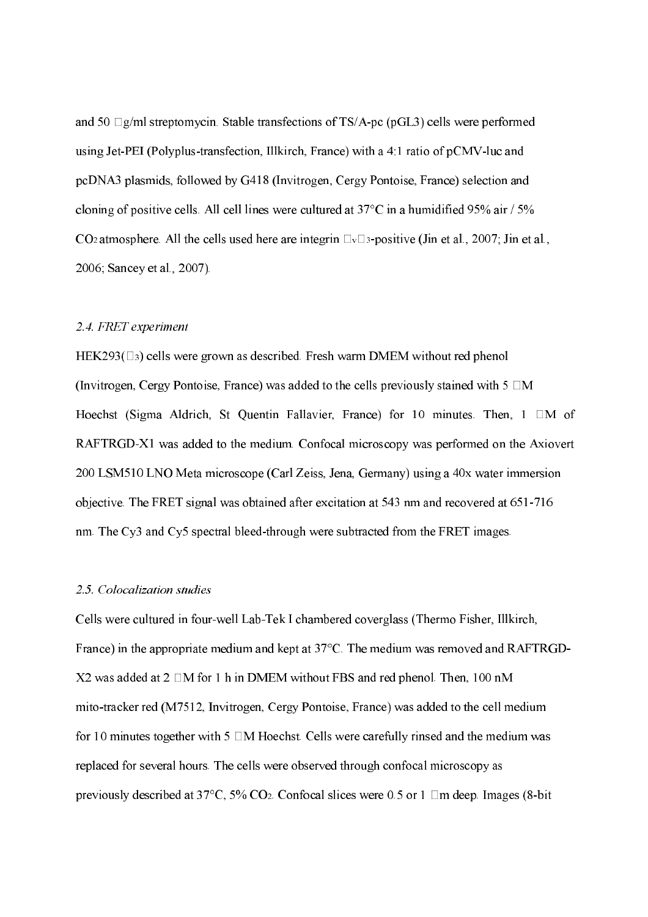and 50  $\Box$ g/ml streptomycin. Stable transfections of TS/A-pc (pGL3) cells were performed using Jet-PEI (Polyplus-transfection, Illkirch, France) with a 4:1 ratio of  $pCMV$ -luc and pcDNA3 plasmids, followed by G418 (Invitrogen, Cergy Pontoise, France) selection and cloning of positive cells. All cell lines were cultured at 37°C in a humidified 95% air / 5% CO<sub>2</sub> atmosphere. All the cells used here are integrin  $\Box_{\nu} \Box_{3}$ -positive (Jin et al., 2007; Jin et al., 2006; Sancey et al., 2007).

### 2.4. FRET experiment

HEK293( $\Box$ 3) cells were grown as described. Fresh warm DMEM without red phenol (Invitrogen, Cergy Pontoise, France) was added to the cells previously stained with  $5 \Box M$ Hoechst (Sigma Aldrich, St Quentin Fallavier, France) for 10 minutes. Then,  $1 \Box M$  of RAFTRGD-X1 was added to the medium. Confocal microscopy was performed on the Axiovert 200 LSM510 LNO Meta microscope (Carl Zeiss, Jena, Germany) using a 40x water immersion objective. The FRET signal was obtained after excitation at 543 nm and recovered at 651-716 nm. The Cy3 and Cy5 spectral bleed-through were subtracted from the FRET images.

#### 2.5. Colocalization studies

Cells were cultured in four-well Lab-Tek I chambered coverglass (Thermo Fisher, Illkirch, France) in the appropriate medium and kept at 37°C. The medium was removed and RAFTRGD  $X2$  was added at 2  $\Box M$  for 1 h in DMEM without FBS and red phenol. Then, 100 nM mito-tracker red (M7512, Invitrogen, Cergy Pontoise, France) was added to the cell medium for 10 minutes together with 5  $\Box M$  Hoechst. Cells were carefully rinsed and the medium was replaced for several hours. The cells were observed through confocal microscopy as previously described at 37°C, 5% CO<sub>2</sub>. Confocal slices were 0.5 or 1  $\Box$ m deep. Images (8-bit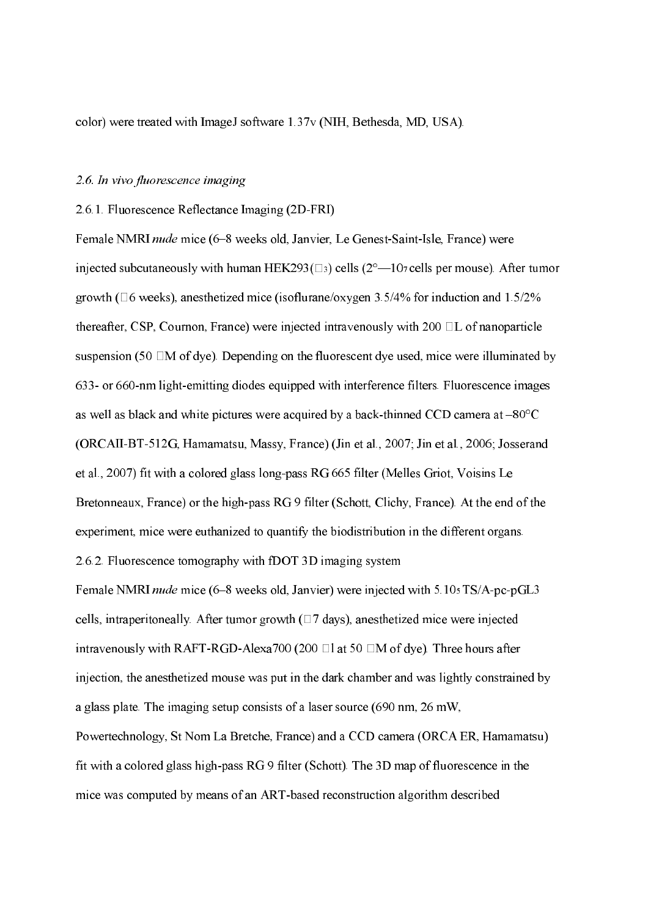color) were treated with ImageJ software 1.37v (NIH, Bethesda, MD, USA).

### 2.6. In vivo fluorescence imaging

#### 2.6.1. Fluorescence Reflectance Imaging (2D-FRI)

Female NMRI nude mice (6-8 weeks old, Janvier, Le Genest-Saint-Isle, France) were injected subcutaneously with human HEK293( $\Box$ 3) cells (2°—107 cells per mouse). After tumor growth ( $\Box$ 6 weeks), anesthetized mice (isoflurane/oxygen 3.5/4% for induction and 1.5/2% thereafter, CSP, Cournon, France) were injected intravenously with  $200$   $\Box$ L of nanoparticle suspension (50  $\Box M$  of dye). Depending on the fluorescent dye used, mice were illuminated by 633 or 660-nm light-emitting diodes equipped with interference filters. Fluorescence images as well as black and white pictures were acquired by a back-thinned CCD camera at  $-80^{\circ}$ C (ORCAII-BT-512G, Hamamatsu, Massy, France) (Jin et al., 2007; Jin et al., 2006; Josserand et al., 2007) fit with a colored glass long-pass RG 665 filter (Melles Griot, Voisins Le Bretonneaux, France) or the high-pass RG 9 filter (Schott, Clichy, France). At the end of the experiment, mice were euthanized to quantify the biodistribution in the different organs. 2.6.2. Fluorescence tomography with fDOT 3D imaging system Female NMRI nude mice (6-8 weeks old, Janvier) were injected with 5.10s TS/A-pc-pGL3 cells, intraperitoneally. After tumor growth  $(\Box 7 \text{ days})$ , anesthetized mice were injected intravenously with RAFT-RGD-Alexa700 (200  $\Box$ l at 50  $\Box$ M of dye). Three hours after injection, the anesthetized mouse was put in the dark chamber and was lightly constrained by a glass plate. The imaging setup consists of a laser source (690 nm, 26 mW, Powertechnology, St Nom La Bretche, France) and a CCD camera (ORCA ER, Hamamatsu) fit with a colored glass high-pass  $RG9$  filter (Schott). The 3D map of fluorescence in the mice was computed by means of an ART-based reconstruction algorithm described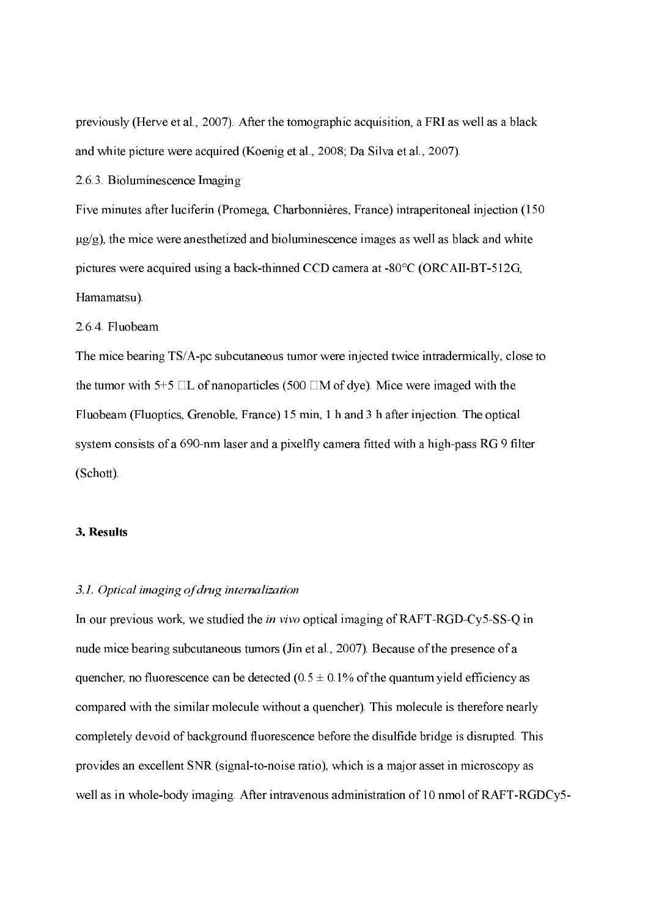previously (Herve et al., 2007). After the tomographic acquisition, a FRI as well as a black and white picture were acquired (Koenig et al., 2008; Da Silva et al., 2007).

2.6.3. Bioluminescence Imaging

Five minutes after luciferin (Promega, Charbonnières, France) intraperitoneal injection (150  $\mu$ g/g), the mice were anesthetized and bioluminescence images as well as black and white pictures were acquired using a back-thinned CCD camera at -80 $\degree$ C (ORCAII-BT-512G, Hamamatsu).

2.6.4. Fluobeam

The mice bearing TS/A-pc subcutaneous tumor were injected twice intradermically, close to the tumor with 5+5  $\Box$ L of nanoparticles (500  $\Box$ M of dye). Mice were imaged with the Fluobeam (Fluoptics, Grenoble, France) 15 min, 1 h and 3 h after injection. The optical system consists of a 690-nm laser and a pixelfly camera fitted with a high-pass RG 9 filter (Schott).

#### 3. Results

#### 3.1. Optical imaging of drug internalization

In our previous work, we studied the *in vivo* optical imaging of RAFT-RGD-Cy5-SS-Q in nude mice bearing subcutaneous tumors (Jin et al., 2007). Because of the presence of a quencher, no fluorescence can be detected ( $0.5 \pm 0.1\%$  of the quantum yield efficiency as compared with the similar molecule without a quencher). This molecule is therefore nearly completely devoid of background fluorescence before the disulfide bridge is disrupted. This provides an excellent SNR (signal-to-noise ratio), which is a major asset in microscopy as well as in whole-body imaging. After intravenous administration of 10 nmol of RAFT-RGDCy5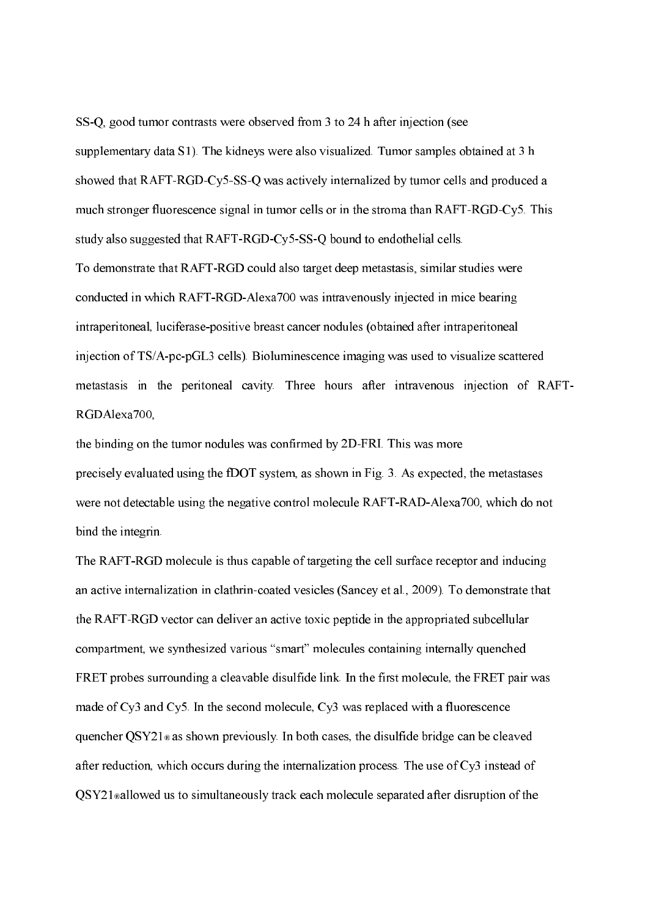SS-Q, good tumor contrasts were observed from 3 to 24 h after injection (see supplementary data S1). The kidneys were also visualized. Tumor samples obtained at 3 h showed that RAFT-RGD-Cy5-SS-Q was actively internalized by tumor cells and produced a much stronger fluorescence signal in tumor cells or in the stroma than RAFT-RGD-Cy5. This study also suggested that RAFT-RGD-Cy5-SS-Q bound to endothelial cells.

To demonstrate that RAFT-RGD could also target deep metastasis, similar studies were conducted in which RAFT-RGD-Alexa700 was intravenously injected in mice bearing intraperitoneal, luciferase-positive breast cancer nodules (obtained after intraperitoneal injection of  $TS/A$ -pc-p $GL3$  cells). Bioluminescence imaging was used to visualize scattered metastasis in the peritoneal cavity. Three hours after intravenous injection of RAFT RGDAlexa700,

the binding on the tumor nodules was confirmed by 2D-FRI. This was more precisely evaluated using the fDOT system, as shown in Fig. 3. As expected, the metastases were not detectable using the negative control molecule RAFT-RAD-Alexa700, which do not bind the integrin.

The RAFT-RGD molecule is thus capable of targeting the cell surface receptor and inducing an active internalization in clathrin-coated vesicles (Sancey et al., 2009). To demonstrate that the RAFT-RGD vector can deliver an active toxic peptide in the appropriated subcellular compartment, we synthesized various "smart" molecules containing internally quenched FRET probes surrounding a cleavable disulfide link. In the first molecule, the FRET pair was made of Cy3 and Cy5. In the second molecule, Cy3 was replaced with a fluorescence quencher  $OSY21$  as shown previously. In both cases, the disulfide bridge can be cleaved after reduction, which occurs during the internalization process. The use of Cy3 instead of  $\text{OSY21}$  sallowed us to simultaneously track each molecule separated after disruption of the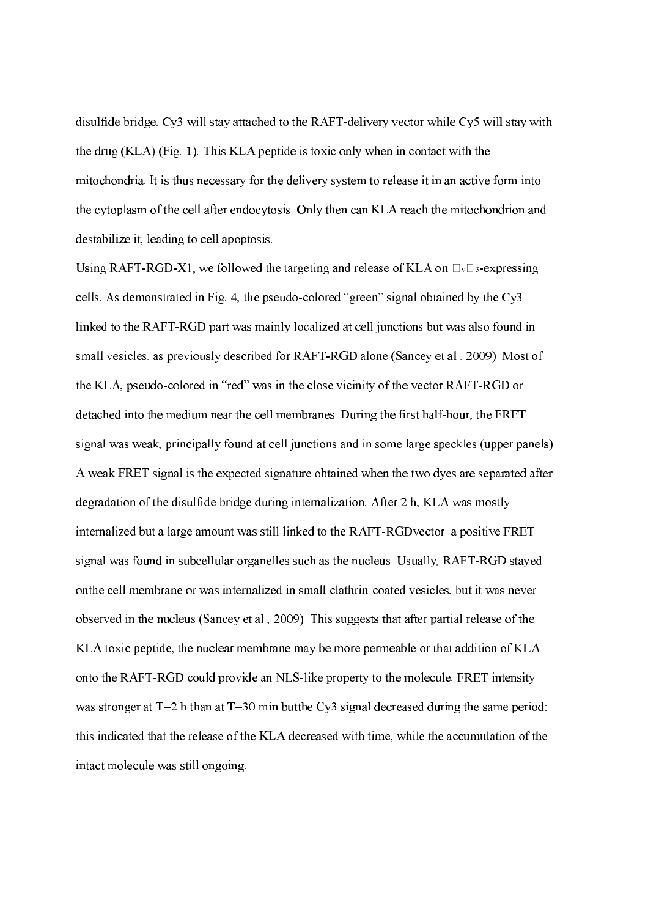disulfide bridge. Cy3 will stay attached to the RAFT-delivery vector while Cy5 will stay with the drug (KLA) (Fig. 1). This KLA peptide is toxic only when in contact with the mitochondria. It is thus necessary for the delivery system to release it in an active form into the cytoplasm of the cell after endocytosis. Only then can KLA reach the mitochondrion and destabilize it, leading to cell apoptosis.

Using RAFT-RGD-X1, we followed the targeting and release of KLA on  $\Box_{v}\Box_{3}$ -expressing cells. As demonstrated in Fig. 4, the pseudo-colored "green" signal obtained by the  $Cy3$ linked to the RAFT-RGD part was mainly localized at cell junctions but was also found in small vesicles, as previously described for RAFT-RGD alone (Sancey et al., 2009). Most of the KLA, pseudo-colored in "red" was in the close vicinity of the vector RAFT-RGD or detached into the medium near the cell membranes. During the first half-hour, the FRET signal was weak, principally found at cell junctions and in some large speckles (upper panels). A weak FRET signal is the expected signature obtained when the two dyes are separated after degradation of the disulfide bridge during internalization. After 2 h, KLA was mostly internalized but a large amount was still linked to the RAFT-RGDvector: a positive FRET signal was found in subcellular organelles such as the nucleus. Usually, RAFT-RGD stayed onthe cell membrane or was internalized in small clathrin-coated vesicles, but it was never observed in the nucleus (Sancey et al., 2009). This suggests that after partial release of the KLA toxic peptide, the nuclear membrane may be more permeable or that addition of KLA onto the RAFT-RGD could provide an NLS-like property to the molecule. FRET intensity was stronger at T=2 h than at T=30 min butthe Cy3 signal decreased during the same period: this indicated that the release of the KLA decreased with time, while the accumulation of the intact molecule was still ongoing.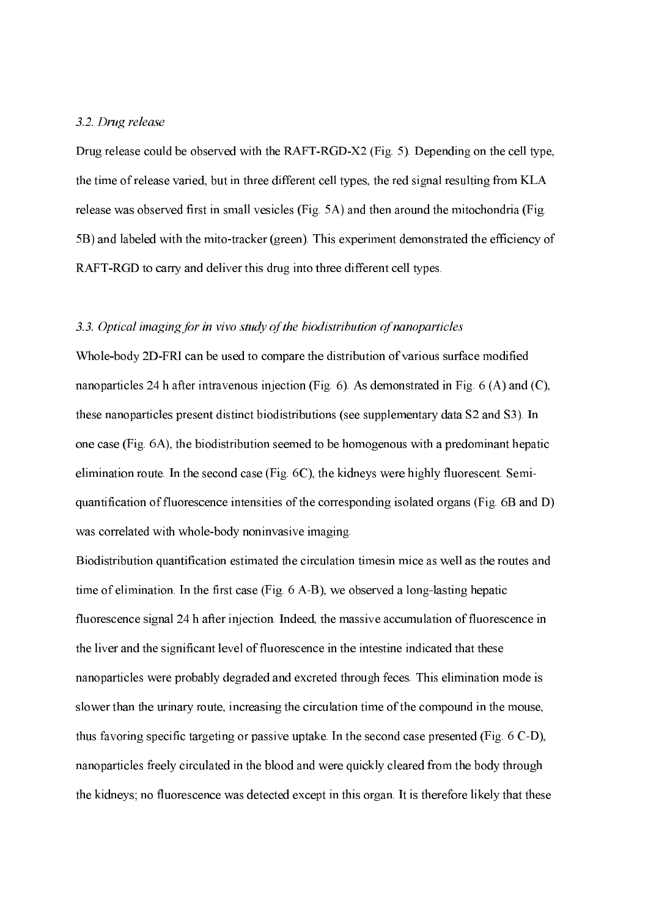### 3.2. Drug release

Drug release could be observed with the RAFT-RGD-X2 (Fig. 5). Depending on the cell type, the time of release varied, but in three different cell types, the red signal resulting from KLA release was observed first in small vesicles (Fig. 5A) and then around the mitochondria (Fig. 5B) and labeled with the mito-tracker (green). This experiment demonstrated the efficiency of RAFT-RGD to carry and deliver this drug into three different cell types.

### $3.3.$  Optical imaging for in vivo study of the biodistribution of nanoparticles

Whole-body 2D-FRI can be used to compare the distribution of various surface modified nanoparticles 24 h after intravenous injection (Fig. 6). As demonstrated in Fig. 6 (A) and (C), these nanoparticles present distinct biodistributions (see supplementary data S2 and S3). In one case (Fig. 6A), the biodistribution seemed to be homogenous with a predominant hepatic elimination route. In the second case (Fig. 6C), the kidneys were highly fluorescent. Semi quantification of fluorescence intensities of the corresponding isolated organs (Fig. 6B and D) was correlated with whole-body noninvasive imaging.

Biodistribution quantification estimated the circulation timesin mice as well as the routes and time of elimination. In the first case (Fig.  $6$  A-B), we observed a long-lasting hepatic fluorescence signal 24 h after injection. Indeed, the massive accumulation of fluorescence in the liver and the significant level of fluorescence in the intestine indicated that these nanoparticles were probably degraded and excreted through feces. This elimination mode is slower than the urinary route, increasing the circulation time of the compound in the mouse, thus favoring specific targeting or passive uptake. In the second case presented (Fig.  $6 \text{ C-D}$ ), nanoparticles freely circulated in the blood and were quickly cleared from the body through the kidneys; no fluorescence was detected except in this organ. It is therefore likely that these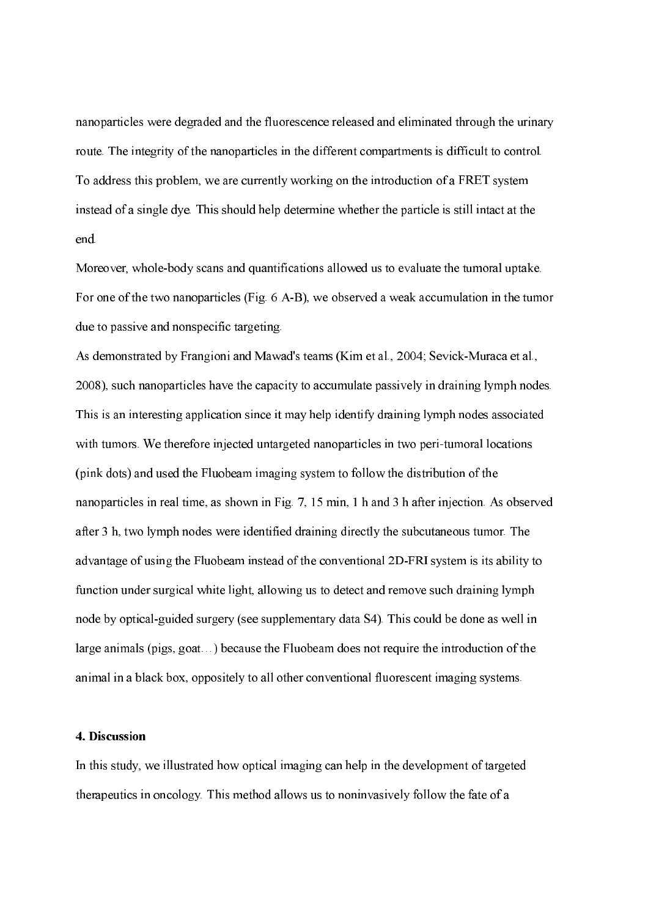nanoparticles were degraded and the fluorescence released and eliminated through the urinary route. The integrity of the nanoparticles in the different compartments is difficult to control. To address this problem, we are currently working on the introduction of a FRET system instead of a single dye. This should help determine whether the particle is still intact at the end.

Moreover, whole-body scans and quantifications allowed us to evaluate the tumoral uptake. For one of the two nanoparticles (Fig. 6 A-B), we observed a weak accumulation in the tumor due to passive and nonspecific targeting.

As demonstrated by Frangioni and Mawad's teams (Kim et al., 2004; Sevick-Muraca et al., 2008), such nanoparticles have the capacity to accumulate passively in draining lymph nodes. This is an interesting application since it may help identify draining lymph nodes associated with tumors. We therefore injected untargeted nanoparticles in two peri-tumoral locations (pink dots) and used the Fluobeam imaging system to follow the distribution of the nanoparticles in real time, as shown in Fig. 7, 15 min, 1 h and 3 h after injection. As observed after 3 h, two lymph nodes were identified draining directly the subcutaneous tumor. The advantage of using the Fluobeam instead of the conventional 2D-FRI system is its ability to function under surgical white light, allowing us to detect and remove such draining lymph node by optical-guided surgery (see supplementary data S4). This could be done as well in large animals (pigs, goat…) because the Fluobeam does not require the introduction of the animal in a black box, oppositely to all other conventional fluorescent imaging systems.

#### 4. Discussion

In this study, we illustrated how optical imaging can help in the development of targeted therapeutics in oncology. This method allows us to noninvasively follow the fate of a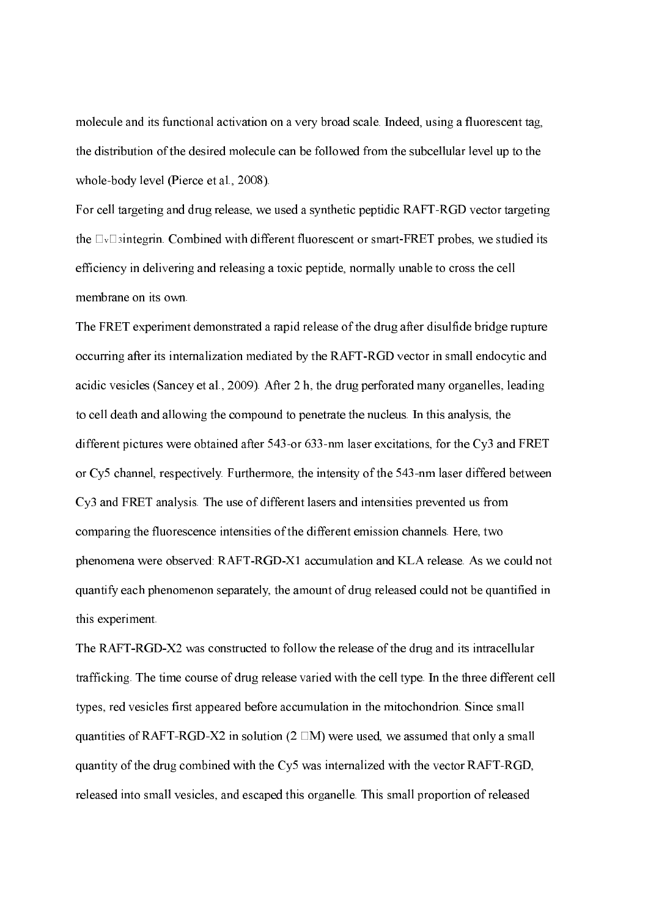molecule and its functional activation on a very broad scale. Indeed, using a fluorescent tag, the distribution of the desired molecule can be followed from the subcellular level up to the whole-body level (Pierce et al., 2008).

For cell targeting and drug release, we used a synthetic peptidic RAFT-RGD vector targeting the M Mintegrin. Combined with different fluorescent or smartFRET probes, we studied its efficiency in delivering and releasing a toxic peptide, normally unable to cross the cell membrane on its own.

The FRET experiment demonstrated a rapid release of the drug after disulfide bridge rupture occurring after its internalization mediated by the RAFT-RGD vector in small endocytic and acidic vesicles (Sancey et al., 2009). After 2 h, the drug perforated many organelles, leading to cell death and allowing the compound to penetrate the nucleus. In this analysis, the different pictures were obtained after 543-or 633-nm laser excitations, for the Cy3 and FRET or Cy5 channel, respectively. Furthermore, the intensity of the 543-nm laser differed between Cy3 and FRET analysis. The use of different lasers and intensities prevented us from comparing the fluorescence intensities of the different emission channels. Here, two phenomena were observed: RAFT-RGD-X1 accumulation and KLA release. As we could not quantify each phenomenon separately, the amount of drug released could not be quantified in this experiment.

The RAFT-RGD-X2 was constructed to follow the release of the drug and its intracellular trafficking. The time course of drug release varied with the cell type. In the three different cell types, red vesicles first appeared before accumulation in the mitochondrion. Since small quantities of RAFT-RGD-X2 in solution (2  $\Box$ M) were used, we assumed that only a small quantity of the drug combined with the  $Cy5$  was internalized with the vector RAFT-RGD, released into small vesicles, and escaped this organelle. This small proportion of released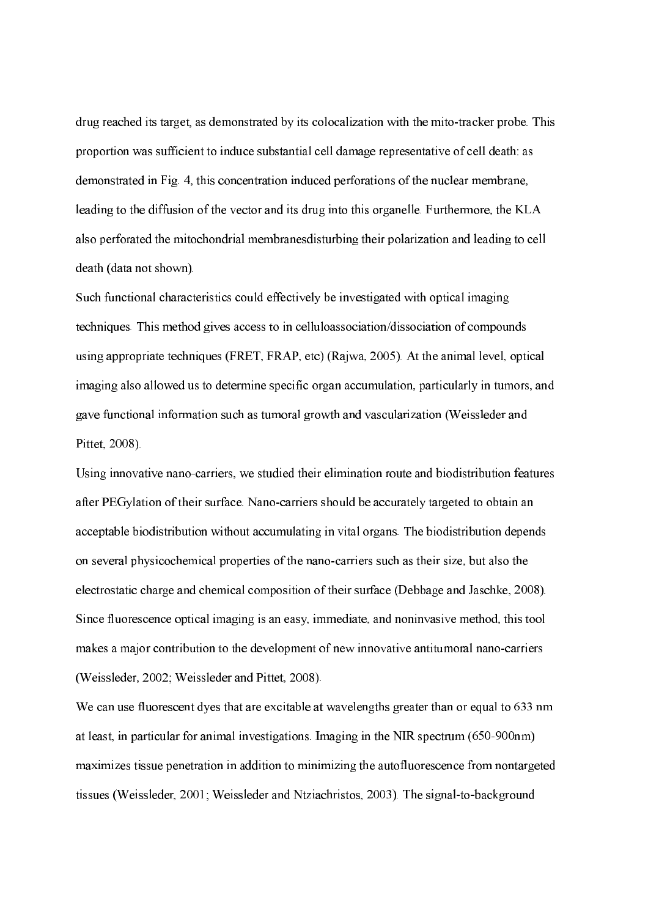drug reached its target, as demonstrated by its colocalization with the mito-tracker probe. This proportion was sufficient to induce substantial cell damage representative of cell death: as demonstrated in Fig. 4, this concentration induced perforations of the nuclear membrane, leading to the diffusion of the vector and its drug into this organelle. Furthermore, the KLA also perforated the mitochondrial membranesdisturbing their polarization and leading to cell death (data not shown).

Such functional characteristics could effectively be investigated with optical imaging techniques. This method gives access to in celluloassociation/dissociation of compounds using appropriate techniques (FRET, FRAP, etc) (Rajwa, 2005). At the animal level, optical imaging also allowed us to determine specific organ accumulation, particularly in tumors, and gave functional information such as tumoral growth and vascularization (Weissleder and Pittet, 2008).

Using innovative nanocarriers, we studied their elimination route and biodistribution features after PEGylation of their surface. Nano-carriers should be accurately targeted to obtain an acceptable biodistribution without accumulating in vital organs. The biodistribution depends on several physicochemical properties of the nanocarriers such as their size, but also the electrostatic charge and chemical composition of their surface (Debbage and Jaschke, 2008). Since fluorescence optical imaging is an easy, immediate, and noninvasive method, this tool makes a major contribution to the development of new innovative antitumoral nano-carriers (Weissleder, 2002; Weissleder and Pittet, 2008).

We can use fluorescent dyes that are excitable at wavelengths greater than or equal to 633 nm at least, in particular for animal investigations. Imaging in the NIR spectrum  $(650-900$ nm) maximizes tissue penetration in addition to minimizing the autofluorescence from nontargeted tissues (Weissleder, 2001; Weissleder and Ntziachristos, 2003). The signal-to-background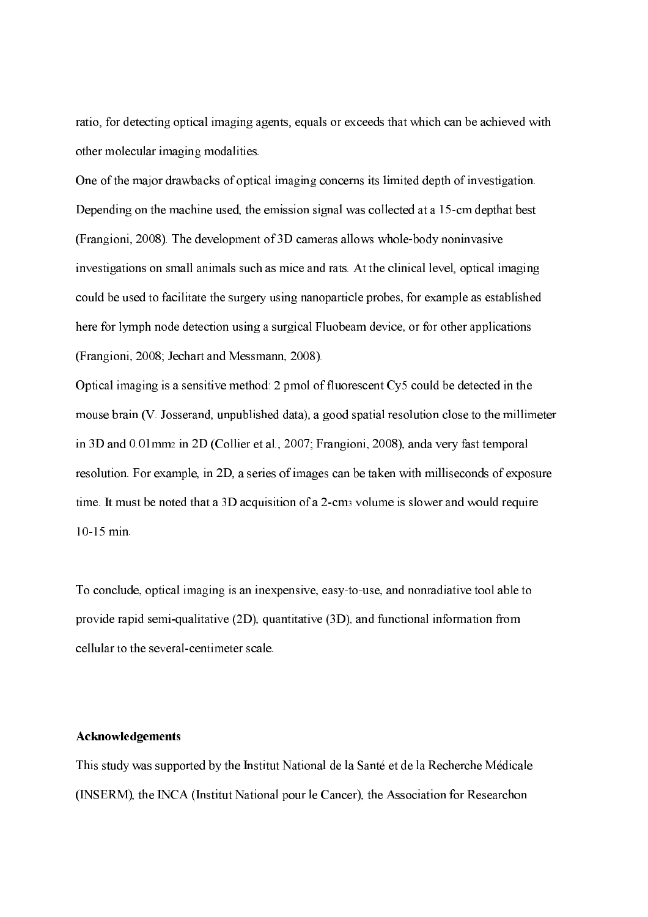ratio, for detecting optical imaging agents, equals or exceeds that which can be achieved with other molecular imaging modalities.

One of the major drawbacks of optical imaging concerns its limited depth of investigation. Depending on the machine used, the emission signal was collected at a 15-cm depthat best (Frangioni, 2008). The development of  $3D$  cameras allows whole-body noninvasive investigations on small animals such as mice and rats. At the clinical level, optical imaging could be used to facilitate the surgery using nanoparticle probes, for example as established here for lymph node detection using a surgical Fluobeam device, or for other applications (Frangioni, 2008; Jechart and Messmann, 2008).

Optical imaging is a sensitive method: 2 pmol of fluorescent Cy5 could be detected in the mouse brain (V. Josserand, unpublished data), a good spatial resolution close to the millimeter in 3D and 0.01 mm2 in 2D (Collier et al., 2007; Frangioni, 2008), anda very fast temporal resolution. For example, in 2D, a series of images can be taken with milliseconds of exposure time. It must be noted that a 3D acquisition of a 2-cm<sub>3</sub> volume is slower and would require 10-15 min.

To conclude, optical imaging is an inexpensive, easy-to-use, and nonradiative tool able to provide rapid semi-qualitative (2D), quantitative (3D), and functional information from cellular to the several-centimeter scale.

### Acknowledgements

This study was supported by the Institut National de la Santé et de la Recherche Médicale (INSERM), the INCA (Institut National pour le Cancer), the Association for Researchon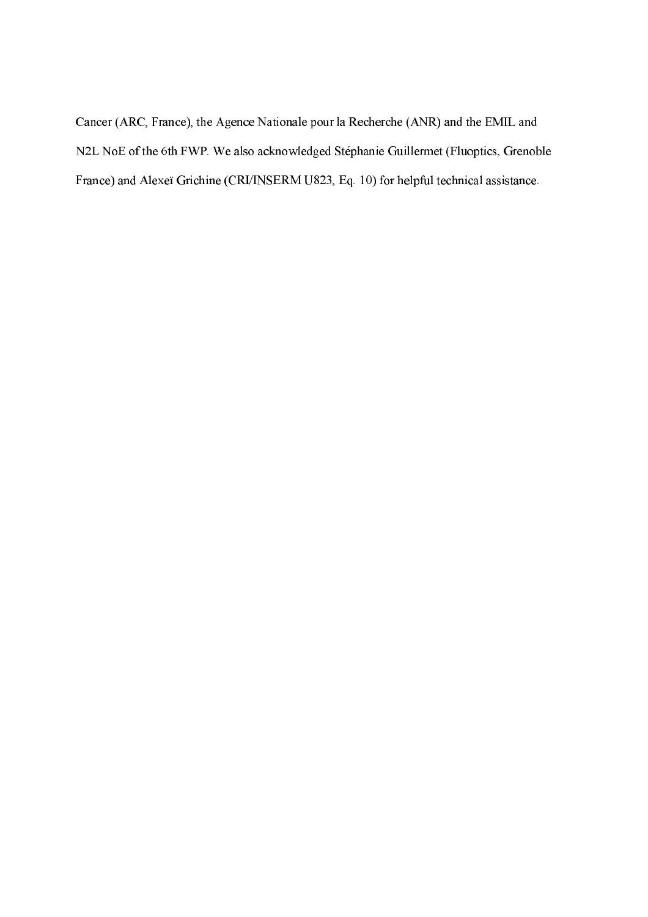Cancer (ARC, France), the Agence Nationale pour la Recherche (ANR) and the EMIL and N2L NoE of the 6th FWP. We also acknowledged Stéphanie Guillermet (Fluoptics, Grenoble France) and Alexeï Grichine (CRI/INSERM U823, Eq. 10) for helpful technical assistance.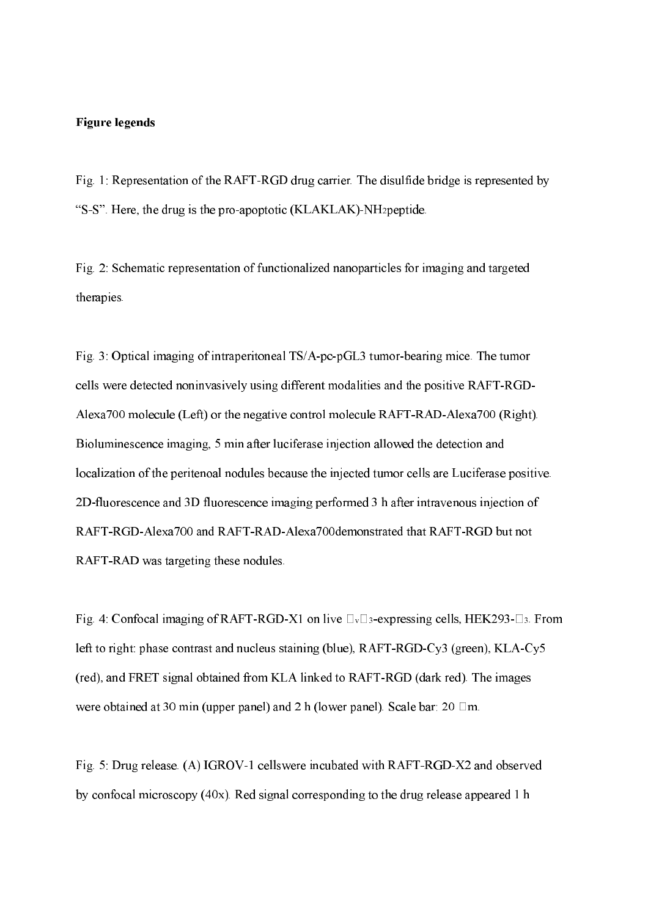### Figure legends

Fig. 1: Representation of the RAFT-RGD drug carrier. The disulfide bridge is represented by "S-S". Here, the drug is the pro-apoptotic (KLAKLAK)-NH<sub>2</sub> peptide.

Fig. 2: Schematic representation of functionalized nanoparticles for imaging and targeted therapies.

Fig. 3: Optical imaging of intraperitoneal TS/A-pc-pGL3 tumor-bearing mice. The tumor cells were detected noninvasively using different modalities and the positive RAFT-RGD-Alexa700 molecule (Left) or the negative control molecule RAFT-RAD-Alexa700 (Right). Bioluminescence imaging, 5 min after luciferase injection allowed the detection and localization of the peritenoal nodules because the injected tumor cells are Luciferase positive. 2D-fluorescence and 3D fluorescence imaging performed 3 h after intravenous injection of RAFT-RGD-Alexa700 and RAFT-RAD-Alexa700demonstrated that RAFT-RGD but not RAFT-RAD was targeting these nodules.

Fig. 4: Confocal imaging of RAFT-RGD-X1 on live  $\Box$   $\Box$  3-expressing cells, HEK293- $\Box$ 3. From left to right: phase contrast and nucleus staining (blue), RAFT-RGD-Cy3 (green), KLA-Cy5 (red), and FRET signal obtained from KLA linked to RAFT-RGD (dark red). The images were obtained at 30 min (upper panel) and 2 h (lower panel). Scale bar: 20  $\Box$ m.

Fig. 5: Drug release. (A) IGROV-1 cellswere incubated with RAFT-RGD-X2 and observed by confocal microscopy ( $40x$ ). Red signal corresponding to the drug release appeared 1 h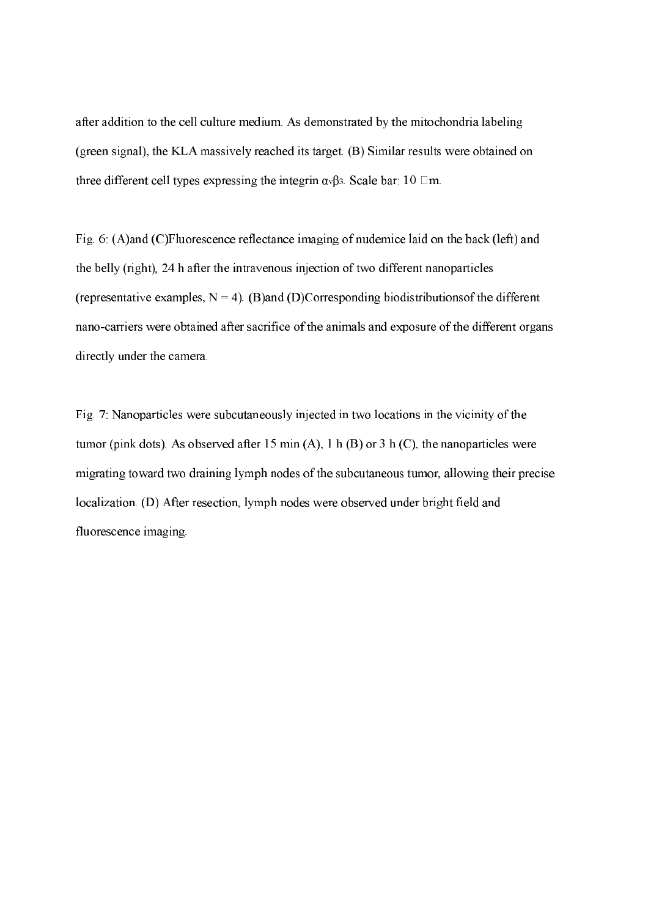after addition to the cell culture medium. As demonstrated by the mitochondria labeling (green signal), the KLA massively reached its target. (B) Similar results were obtained on three different cell types expressing the integrin  $\alpha \sqrt{3}$ . Scale bar: 10  $\Box$ m.

Fig. 6: (A)and (C)Fluorescence reflectance imaging of nudemice laid on the back (left) and the belly (right), 24 h after the intravenous injection of two different nanoparticles (representative examples,  $N = 4$ ). (B)and (D)Corresponding biodistributions of the different nano-carriers were obtained after sacrifice of the animals and exposure of the different organs directly under the camera.

Fig. 7: Nanoparticles were subcutaneously injected in two locations in the vicinity of the tumor (pink dots). As observed after 15 min (A), 1 h (B) or 3 h (C), the nanoparticles were migrating toward two draining lymph nodes of the subcutaneous tumor, allowing their precise localization. (D) After resection, lymph nodes were observed under bright field and fluorescence imaging.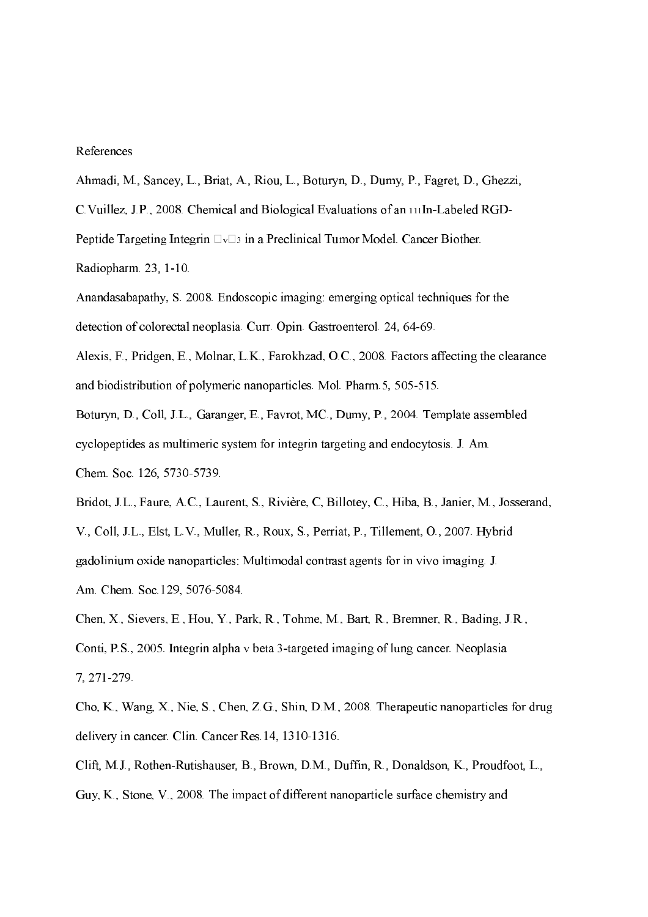#### References

Ahmadi, M., Sancey, L., Briat, A., Riou, L., Boturyn, D., Dumy, P., Fagret, D., Ghezzi,

C.Vuillez, J.P., 2008. Chemical and Biological Evaluations of an InLabeled RGD

Peptide Targeting Integrin  $\Box$ <sup> $\Box$ 3</sup> in a Preclinical Tumor Model. Cancer Biother.

Radiopharm. 23, 1-10.

Anandasabapathy, S. 2008. Endoscopic imaging: emerging optical techniques for the detection of colorectal neoplasia. Curr. Opin. Gastroenterol. 24, 64-69.

Alexis, F., Pridgen, E., Molnar, L.K., Farokhzad, O.C., 2008. Factors affecting the clearance and biodistribution of polymeric nanoparticles. Mol. Pharm. 5, 505-515.

Boturyn, D., Coll, J.L., Garanger, E., Favrot, MC., Dumy, P., 2004. Template assembled cyclopeptides as multimeric system for integrin targeting and endocytosis. J. Am. Chem. Soc. 126, 5730-5739.

Bridot, J.L., Faure, A.C., Laurent, S., Rivière, C, Billotey, C., Hiba, B., Janier, M., Josserand, V., Coll, J.L., Elst, L.V., Muller, R., Roux, S., Perriat, P., Tillement, O., 2007. Hybrid gadolinium oxide nanoparticles: Multimodal contrast agents for in vivo imaging. J. Am. Chem. Soc.129, 5076-5084.

Chen, X., Sievers, E., Hou, Y., Park, R., Tohme, M., Bart, R., Bremner, R., Bading, J.R., Conti, P.S., 2005. Integrin alpha v beta 3-targeted imaging of lung cancer. Neoplasia 7, 271279.

Cho, K., Wang, X., Nie, S., Chen, Z.G., Shin, D.M., 2008. Therapeutic nanoparticles for drug delivery in cancer. Clin. Cancer Res. 14, 1310-1316.

Clift, M.J., Rothen-Rutishauser, B., Brown, D.M., Duffin, R., Donaldson, K., Proudfoot, L., Guy, K., Stone, V., 2008. The impact of different nanoparticle surface chemistry and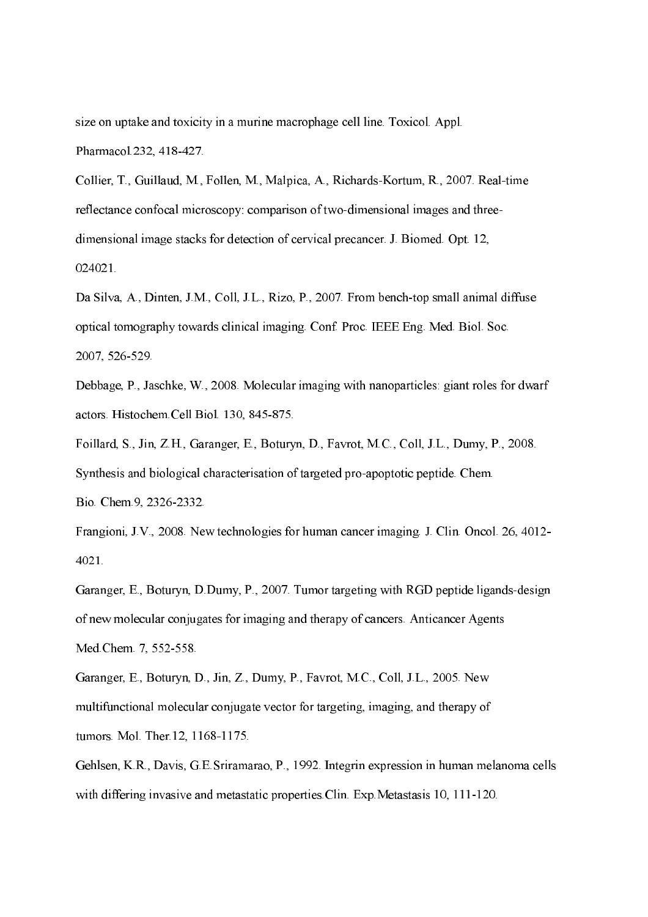size on uptake and toxicity in a murine macrophage cell line. Toxicol. Appl. Pharmacol.232, 418-427.

Collier, T., Guillaud, M., Follen, M., Malpica, A., Richards-Kortum, R., 2007. Real-time reflectance confocal microscopy: comparison of two-dimensional images and threedimensional image stacks for detection of cervical precancer. J. Biomed. Opt. 12, 024021.

Da Silva, A., Dinten, J.M., Coll, J.L., Rizo, P., 2007. From bench-top small animal diffuse optical tomography towards clinical imaging. Conf. Proc. IEEE Eng. Med. Biol. Soc. 2007, 526-529.

Debbage, P., Jaschke, W., 2008. Molecular imaging with nanoparticles: giant roles for dwarf actors. Histochem.Cell Biol. 130, 845-875.

Foillard, S., Jin, Z.H., Garanger, E., Boturyn, D., Favrot, M.C., Coll, J.L., Dumy, P., 2008. Synthesis and biological characterisation of targeted pro-apoptotic peptide. Chem. Bio. Chem.9, 2326-2332.

Frangioni, J.V., 2008. New technologies for human cancer imaging. J. Clin. Oncol. 26, 4012 4021.

Garanger, E., Boturyn, D.Dumy, P., 2007. Tumor targeting with RGD peptide ligands-design of new molecular conjugates for imaging and therapy of cancers. Anticancer Agents Med.Chem. 7, 552-558.

Garanger, E., Boturyn, D., Jin, Z., Dumy, P., Favrot, M.C., Coll, J.L., 2005. New multifunctional molecular conjugate vector for targeting, imaging, and therapy of tumors. Mol. Ther.12, 1168-1175.

Gehlsen, K.R., Davis, G.E.Sriramarao, P., 1992. Integrin expression in human melanoma cells with differing invasive and metastatic properties. Clin. Exp. Metastasis 10, 111-120.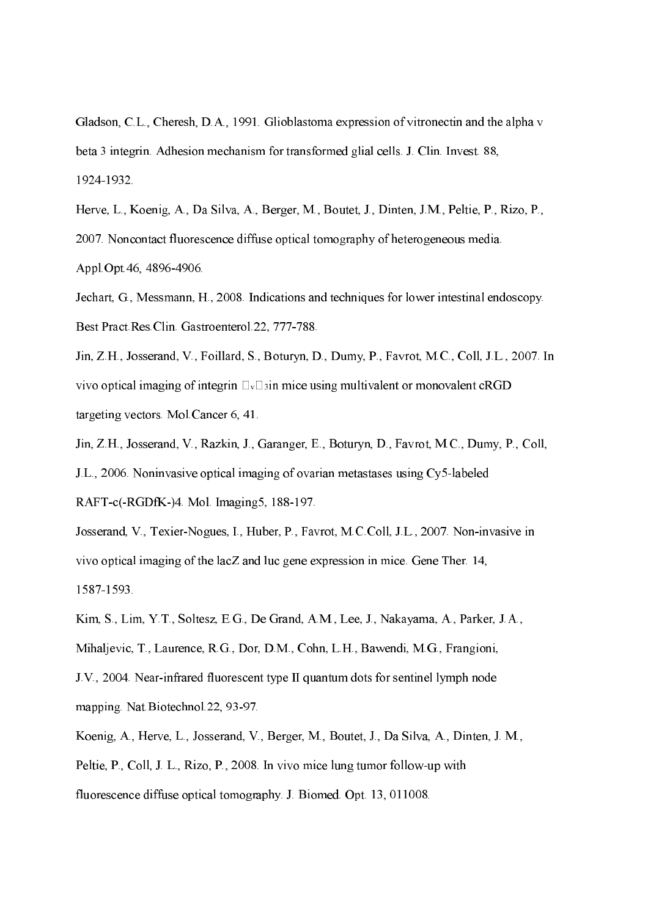Gladson, C.L., Cheresh, D.A., 1991. Glioblastoma expression of vitronectin and the alpha v beta 3 integrin. Adhesion mechanism for transformed glial cells. J. Clin. Invest. 88, 19241932.

Herve, L., Koenig, A., Da Silva, A., Berger, M., Boutet, J., Dinten, J.M., Peltie, P., Rizo, P., 2007. Noncontact fluorescence diffuse optical tomography of heterogeneous media.

Appl.Opt.46, 4896-4906.

Jechart, G., Messmann, H., 2008. Indications and techniques for lower intestinal endoscopy. Best Pract.Res.Clin. Gastroenterol.22, 777-788.

Jin, Z.H., Josserand, V., Foillard, S., Boturyn, D., Dumy, P., Favrot, M.C., Coll, J.L., 2007. In vivo optical imaging of integrin  $\Box$   $\Box$  in mice using multivalent or monovalent cRGD targeting vectors. Mol.Cancer 6, 41.

Jin, Z.H., Josserand, V., Razkin, J., Garanger, E., Boturyn, D., Favrot, M.C., Dumy, P., Coll, J.L., 2006. Noninvasive optical imaging of ovarian metastases using  $Cv5$ -labeled RAFT-c(-RGDfK-)4. Mol. Imaging5, 188-197.

Josserand, V., Texier-Nogues, I., Huber, P., Favrot, M.C.Coll, J.L., 2007. Non-invasive in vivo optical imaging of the lacZ and luc gene expression in mice. Gene Ther. 14, 15871593.

Kim, S., Lim, Y.T., Soltesz, E.G., De Grand, A.M., Lee, J., Nakayama, A., Parker, J.A., Mihaljevic, T., Laurence, R.G., Dor, D.M., Cohn, L.H., Bawendi, M.G., Frangioni, J.V., 2004. Nearinfrared fluorescent type II quantum dots for sentinel lymph node mapping. Nat.Biotechnol.22, 93-97.

Koenig, A., Herve, L., Josserand, V., Berger, M., Boutet, J., Da Silva, A., Dinten, J. M., Peltie, P., Coll, J. L., Rizo, P., 2008. In vivo mice lung tumor follow-up with fluorescence diffuse optical tomography. J. Biomed. Opt. 13, 011008.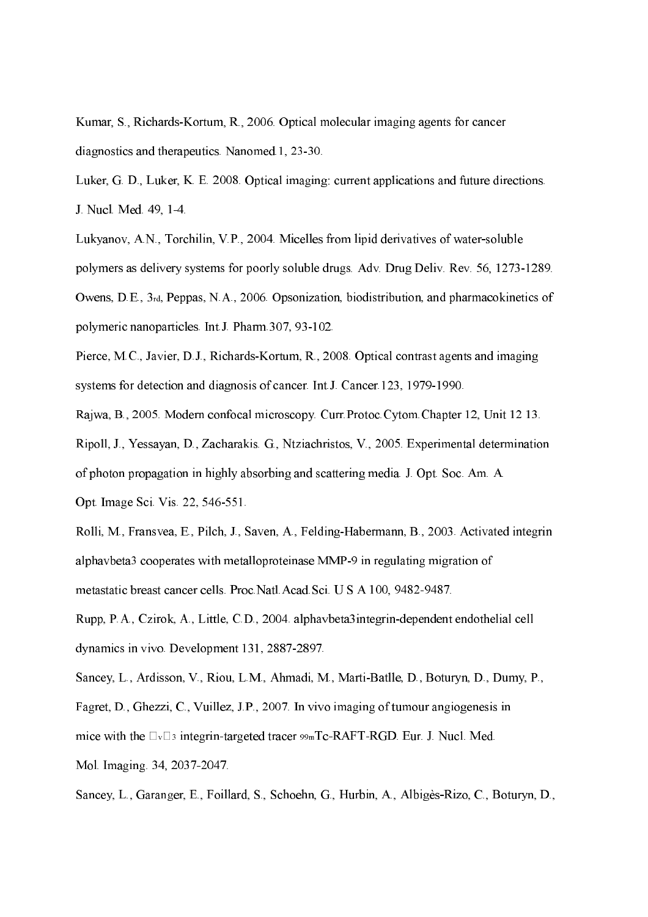Kumar, S., Richards-Kortum, R., 2006. Optical molecular imaging agents for cancer diagnostics and therapeutics. Nanomed.1, 23-30.

Luker, G. D., Luker, K. E. 2008. Optical imaging: current applications and future directions. J. Nucl. Med. 49, 1-4.

Lukyanov, A.N., Torchilin, V.P., 2004. Micelles from lipid derivatives of watersoluble polymers as delivery systems for poorly soluble drugs. Adv. Drug Deliv. Rev. 56, 1273-1289. Owens, D.E., 3rd, Peppas, N.A., 2006. Opsonization, biodistribution, and pharmacokinetics of polymeric nanoparticles. Int.J. Pharm.307, 93-102.

Pierce, M.C., Javier, D.J., Richards-Kortum, R., 2008. Optical contrast agents and imaging systems for detection and diagnosis of cancer. Int.J. Cancer.123, 1979-1990.

Rajwa, B., 2005. Modern confocal microscopy. Curr.Protoc.Cytom.Chapter 12, Unit 12 13.

Ripoll, J., Yessayan, D., Zacharakis. G., Ntziachristos, V., 2005. Experimental determination of photon propagation in highly absorbing and scattering media. J. Opt. Soc. Am. A. Opt. Image Sci. Vis. 22, 546-551.

Rolli, M., Fransvea, E., Pilch, J., Saven, A., Felding-Habermann, B., 2003. Activated integrin alphavbeta3 cooperates with metalloproteinase MMP-9 in regulating migration of metastatic breast cancer cells. Proc.Natl.Acad.Sci. U S A 100, 9482-9487.

Rupp, P.A., Czirok, A., Little, C.D., 2004. alphavbeta3integrin-dependent endothelial cell dynamics in vivo. Development 131, 2887-2897.

Sancey, L., Ardisson, V., Riou, L.M., Ahmadi, M., Marti-Batlle, D., Boturyn, D., Dumy, P., Fagret, D., Ghezzi, C., Vuillez, J.P., 2007. In vivo imaging of tumour angiogenesis in mice with the  $\Box_{\nu}\Box_3$  integrin-targeted tracer  $\text{sgmTc-RAFT-RGD}$ . Eur. J. Nucl. Med. Mol. Imaging. 34, 2037-2047.

Sancey, L., Garanger, E., Foillard, S., Schoehn, G., Hurbin, A., Albigès-Rizo, C., Boturyn, D.,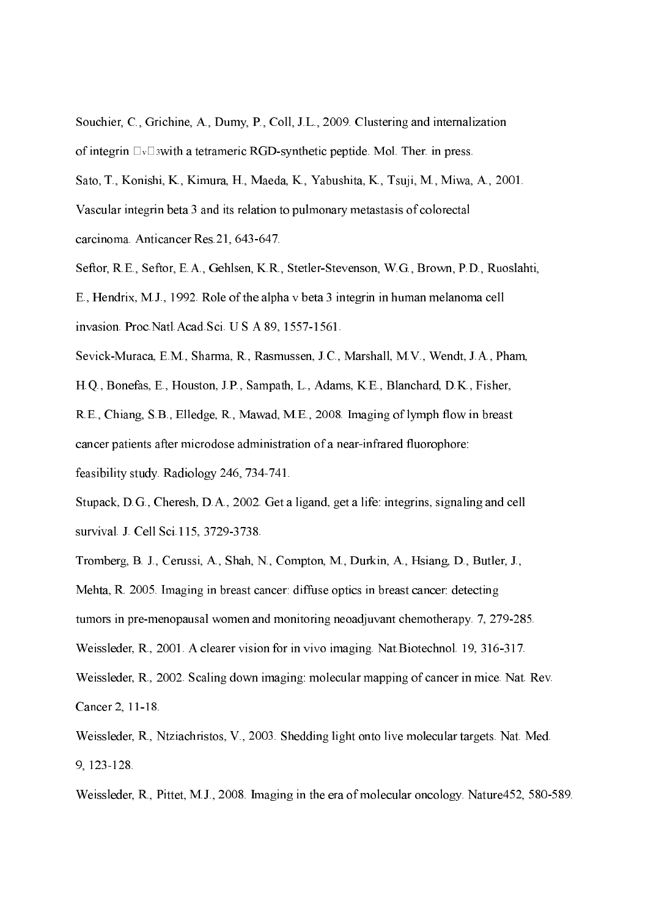Souchier, C., Grichine, A., Dumy, P., Coll, J.L., 2009. Clustering and internalization of integrin  $\Box$   $\Box$  swith a tetrameric RGD-synthetic peptide. Mol. Ther. in press. Sato, T., Konishi, K., Kimura, H., Maeda, K., Yabushita, K., Tsuji, M., Miwa, A., 2001. Vascular integrin beta 3 and its relation to pulmonary metastasis of colorectal carcinoma. Anticancer Res. 21, 643-647.

Seftor, R.E., Seftor, E.A., Gehlsen, K.R., Stetler-Stevenson, W.G., Brown, P.D., Ruoslahti, E., Hendrix, M.J., 1992. Role of the alpha v beta 3 integrin in human melanoma cell

invasion. Proc.Natl.Acad.Sci. U S A 89, 1557-1561.

Sevick-Muraca, E.M., Sharma, R., Rasmussen, J.C., Marshall, M.V., Wendt, J.A., Pham,

H.Q., Bonefas, E., Houston, J.P., Sampath, L., Adams, K.E., Blanchard, D.K., Fisher,

R.E., Chiang, S.B., Elledge, R., Mawad, M.E., 2008. Imaging of lymph flow in breast cancer patients after microdose administration of a nearinfrared fluorophore:

feasibility study. Radiology 246, 734-741.

Stupack, D.G., Cheresh, D.A., 2002. Get a ligand, get a life: integrins, signaling and cell survival. J. Cell Sci. 115, 3729-3738.

Tromberg, B. J., Cerussi, A., Shah, N., Compton, M., Durkin, A., Hsiang, D., Butler, J.,

Mehta, R. 2005. Imaging in breast cancer: diffuse optics in breast cancer: detecting

tumors in pre-menopausal women and monitoring neoadjuvant chemotherapy. 7, 279-285.

Weissleder, R., 2001. A clearer vision for in vivo imaging. Nat.Biotechnol. 19, 316-317.

Weissleder, R., 2002. Scaling down imaging: molecular mapping of cancer in mice. Nat. Rev. Cancer 2, 11-18.

Weissleder, R., Ntziachristos, V., 2003. Shedding light onto live molecular targets. Nat. Med. 9, 123128.

Weissleder, R., Pittet, M.J., 2008. Imaging in the era of molecular oncology. Nature452, 580-589.